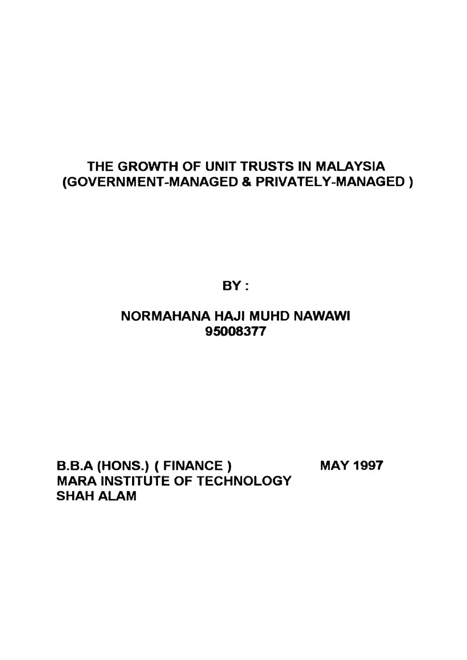# **THE GROWTH OF UNIT TRUSTS IN MALAYSIA (GOVERNMENT-MANAGED & PRIVATELY-MANAGED )**

**BY:**

#### **NORMAHANA HAJI MUHD NAWAWI 95008377**

**B.B.A (HONS.) ( FINANCE ) MAY 1997 MARA INSTITUTE OF TECHNOLOGY SHAH ALAM**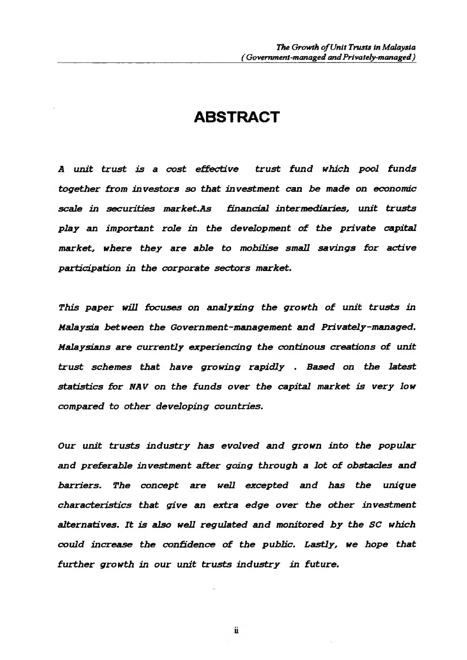### **ABSTRACT**

*A unit trust is* a *cost effective trust fund which pool funds together from investors so that investment can be made on economic scale in securities market.As financial intermediaries, unit trusts play an important role in the development of the private capital market, where they are able to mobilise small savings for active participation in the corporate sectors market.*

*This paper will focuses on analyzing the growth of unit trusts in Malaysia between the Go vern men t -manage men t and Privately-managed. Malaysians are currently experiencing the continous creations of unit trust schemes that have growing rapidly . Based on the latest statistics for NAV on the funds over the capital market is very low compared to other developing countries.*

*Our unit trusts industry has evolved and grown into the popular and preferable investment after going through a lot of obstacles and barriers. The concept are well excepted and has the unique characteristics that give an extra edge over the other investment alternatives. It is also well regulated and monitored by the SC which could increase the confidence of the public. Lastly, we hope that further growth in our unit trusts industry in future.*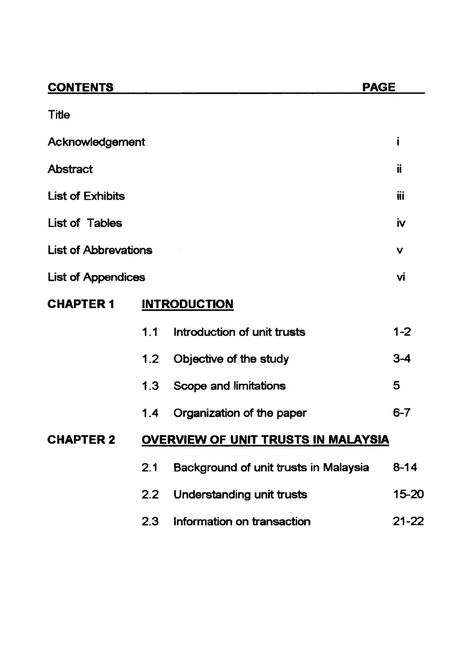## **CONTENTS PAGE**

| Title                       |                                            |                                       |          |  |  |
|-----------------------------|--------------------------------------------|---------------------------------------|----------|--|--|
| Acknowledgement             |                                            |                                       |          |  |  |
| Abstract                    |                                            |                                       | ü        |  |  |
| <b>List of Exhibits</b>     |                                            |                                       | iίi      |  |  |
| List of Tables              |                                            |                                       |          |  |  |
| <b>List of Abbrevations</b> |                                            |                                       |          |  |  |
| <b>List of Appendices</b>   |                                            |                                       |          |  |  |
| <b>CHAPTER 1</b>            | <b>INTRODUCTION</b>                        |                                       |          |  |  |
|                             | 1.1                                        | Introduction of unit trusts           | $1 - 2$  |  |  |
|                             | 1.2 <sub>1</sub>                           | Objective of the study                | $3 - 4$  |  |  |
|                             | 1.3                                        | Scope and limitations                 | 5        |  |  |
|                             | 1.4                                        | Organization of the paper             | $6 - 7$  |  |  |
| <b>CHAPTER 2</b>            | <b>OVERVIEW OF UNIT TRUSTS IN MALAYSIA</b> |                                       |          |  |  |
|                             | 2.1                                        | Background of unit trusts in Malaysia | $8 - 14$ |  |  |
|                             | 2.2 <sub>2</sub>                           | Understanding unit trusts             | 15-20    |  |  |
|                             | 2.3                                        | Information on transaction            | 21-22    |  |  |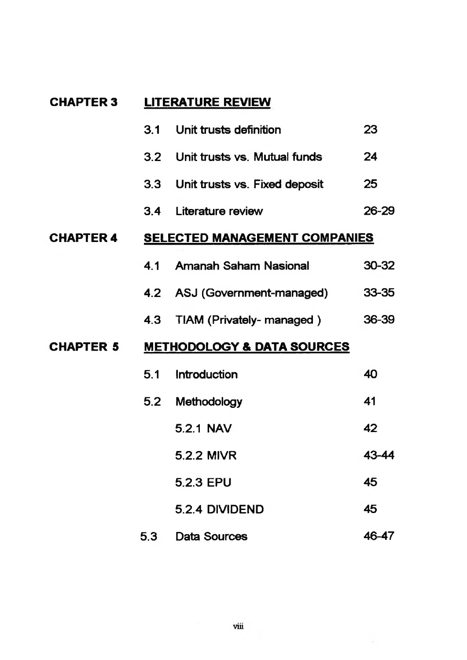#### **CHAPTER 3 LITERATURE REVIEW**

|                  | 3.1 | Unit trusts definition                | 23    |
|------------------|-----|---------------------------------------|-------|
|                  |     | 3.2 Unit trusts vs. Mutual funds      | 24    |
|                  |     | 3.3 Unit trusts vs. Fixed deposit     | 25    |
|                  | 3.4 | Literature review                     | 26-29 |
| <b>CHAPTER 4</b> |     | <b>SELECTED MANAGEMENT COMPANIES</b>  |       |
|                  | 4.1 | Amanah Saham Nasional                 | 30-32 |
|                  |     | 4.2 ASJ (Government-managed)          | 33-35 |
|                  |     | 4.3 TIAM (Privately-managed)          | 36-39 |
| <b>CHAPTER 5</b> |     | <b>METHODOLOGY &amp; DATA SOURCES</b> |       |
|                  | 5.1 | Introduction                          | 40    |
|                  | 5.2 | Methodology                           | 41    |
|                  |     | 5.2.1 NAV                             | 42    |
|                  |     | 5.2.2 MIVR                            | 43-44 |
|                  |     | 5.2.3 EPU                             | 45    |
|                  |     | 5.2.4 DIVIDEND                        | 45    |
|                  | 5.3 | Data Sources                          | 46-47 |